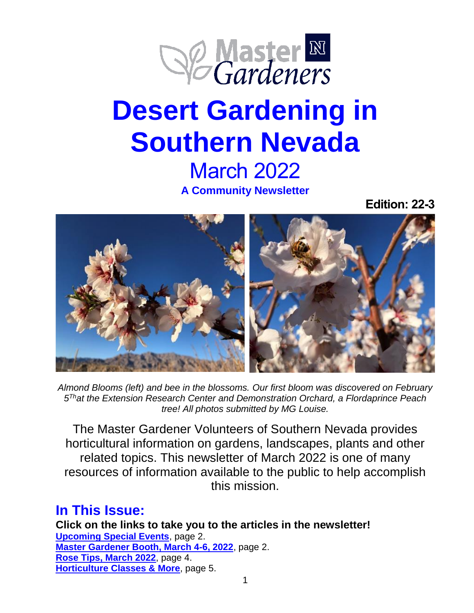

# **Desert Gardening in Southern Nevada** March 2022

**A Community Newsletter**

**Edition: 22-3**



*Almond Blooms (left) and bee in the blossoms. Our first bloom was discovered on February 5 That the Extension Research Center and Demonstration Orchard, a Flordaprince Peach tree! All photos submitted by MG Louise.*

The Master Gardener Volunteers of Southern Nevada provides horticultural information on gardens, landscapes, plants and other related topics. This newsletter of March 2022 is one of many resources of information available to the public to help accomplish this mission.

# <span id="page-0-0"></span>**In This Issue:**

**Click on the links to take you to the articles in the newsletter! [Upcoming Special Events](#page-0-0)**, page 2. **[Master Gardener Booth, March 4-6, 2022](#page-1-0)**, page 2. **[Rose Tips, March 2022](#page-3-0)**, page 4. **[Horticulture Classes](#page-4-0) & More**, page 5.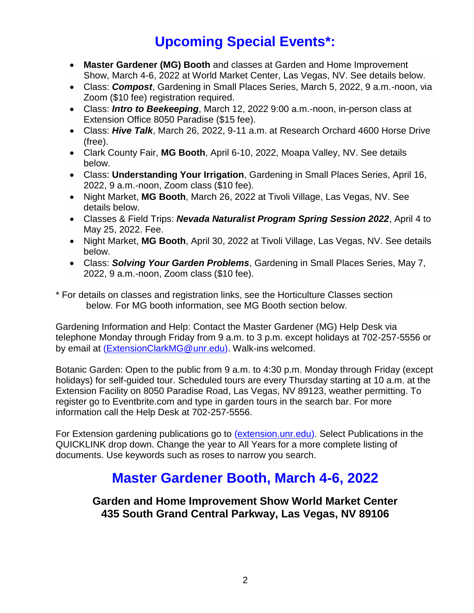# **Upcoming Special Events\*:**

- **Master Gardener (MG) Booth** and classes at Garden and Home Improvement Show, March 4-6, 2022 at World Market Center, Las Vegas, NV. See details below.
- Class: *Compost*, Gardening in Small Places Series, March 5, 2022, 9 a.m.-noon, via Zoom (\$10 fee) registration required.
- Class: *Intro to Beekeeping*, March 12, 2022 9:00 a.m.-noon, in-person class at Extension Office 8050 Paradise (\$15 fee).
- Class: *Hive Talk*, March 26, 2022, 9-11 a.m. at Research Orchard 4600 Horse Drive (free).
- Clark County Fair, **MG Booth**, April 6-10, 2022, Moapa Valley, NV. See details below.
- Class: **Understanding Your Irrigation**, Gardening in Small Places Series, April 16, 2022, 9 a.m.-noon, Zoom class (\$10 fee).
- Night Market, **MG Booth**, March 26, 2022 at Tivoli Village, Las Vegas, NV. See details below.
- Classes & Field Trips: *Nevada Naturalist Program Spring Session 2022*, April 4 to May 25, 2022. Fee.
- Night Market, **MG Booth**, April 30, 2022 at Tivoli Village, Las Vegas, NV. See details below.
- Class: *Solving Your Garden Problems*, Gardening in Small Places Series, May 7, 2022, 9 a.m.-noon, Zoom class (\$10 fee).

\* For details on classes and registration links, see the Horticulture Classes section below. For MG booth information, see MG Booth section below.

Gardening Information and Help: Contact the Master Gardener (MG) Help Desk via telephone Monday through Friday from 9 a.m. to 3 p.m. except holidays at 702-257-5556 or by email at [\(ExtensionClarkMG@unr.edu\)](ExtensionClarkMG@unr.edu). Walk-ins welcomed.

Botanic Garden: Open to the public from 9 a.m. to 4:30 p.m. Monday through Friday (except holidays) for self-guided tour. Scheduled tours are every Thursday starting at 10 a.m. at the Extension Facility on 8050 Paradise Road, Las Vegas, NV 89123, weather permitting. To register go to Eventbrite.com and type in garden tours in the search bar. For more information call the Help Desk at 702-257-5556.

<span id="page-1-0"></span>For Extension gardening publications go to [\(extension.unr.edu\)](mailto:extension.unr.edu). Select Publications in the QUICKLINK drop down. Change the year to All Years for a more complete listing of documents. Use keywords such as roses to narrow you search.

# **Master Gardener Booth, March 4-6, 2022**

**Garden and Home Improvement Show World Market Center 435 South Grand Central Parkway, Las Vegas, NV 89106**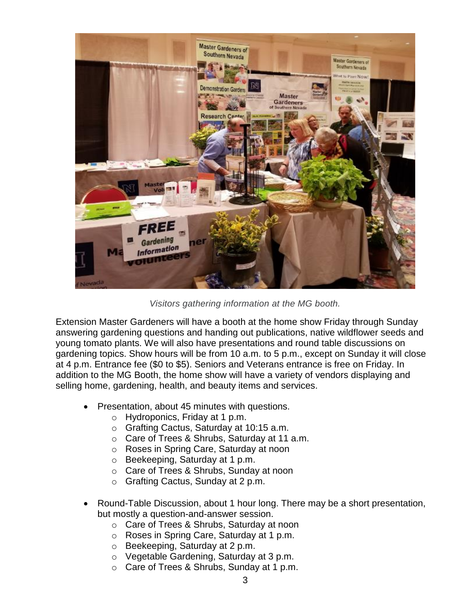

*Visitors gathering information at the MG booth.*

Extension Master Gardeners will have a booth at the home show Friday through Sunday answering gardening questions and handing out publications, native wildflower seeds and young tomato plants. We will also have presentations and round table discussions on gardening topics. Show hours will be from 10 a.m. to 5 p.m., except on Sunday it will close at 4 p.m. Entrance fee (\$0 to \$5). Seniors and Veterans entrance is free on Friday. In addition to the MG Booth, the home show will have a variety of vendors displaying and selling home, gardening, health, and beauty items and services.

- Presentation, about 45 minutes with questions.
	- o Hydroponics, Friday at 1 p.m.
	- o Grafting Cactus, Saturday at 10:15 a.m.
	- o Care of Trees & Shrubs, Saturday at 11 a.m.
	- o Roses in Spring Care, Saturday at noon
	- o Beekeeping, Saturday at 1 p.m.
	- o Care of Trees & Shrubs, Sunday at noon
	- o Grafting Cactus, Sunday at 2 p.m.
- Round-Table Discussion, about 1 hour long. There may be a short presentation, but mostly a question-and-answer session.
	- o Care of Trees & Shrubs, Saturday at noon
	- o Roses in Spring Care, Saturday at 1 p.m.
	- o Beekeeping, Saturday at 2 p.m.
	- o Vegetable Gardening, Saturday at 3 p.m.
	- o Care of Trees & Shrubs, Sunday at 1 p.m.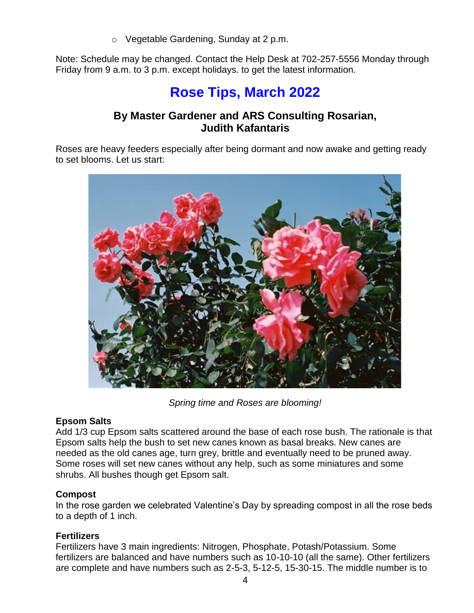o Vegetable Gardening, Sunday at 2 p.m.

<span id="page-3-0"></span>Note: Schedule may be changed. Contact the Help Desk at 702-257-5556 Monday through Friday from 9 a.m. to 3 p.m. except holidays. to get the latest information.

# **Rose Tips, March 2022**

## **By Master Gardener and ARS Consulting Rosarian, Judith Kafantaris**

Roses are heavy feeders especially after being dormant and now awake and getting ready to set blooms. Let us start:



*Spring time and Roses are blooming!*

#### **Epsom Salts**

Add 1/3 cup Epsom salts scattered around the base of each rose bush. The rationale is that Epsom salts help the bush to set new canes known as basal breaks. New canes are needed as the old canes age, turn grey, brittle and eventually need to be pruned away. Some roses will set new canes without any help, such as some miniatures and some shrubs. All bushes though get Epsom salt.

#### **Compost**

In the rose garden we celebrated Valentine's Day by spreading compost in all the rose beds to a depth of 1 inch.

#### **Fertilizers**

Fertilizers have 3 main ingredients: Nitrogen, Phosphate, Potash/Potassium. Some fertilizers are balanced and have numbers such as 10-10-10 (all the same). Other fertilizers are complete and have numbers such as 2-5-3, 5-12-5, 15-30-15. The middle number is to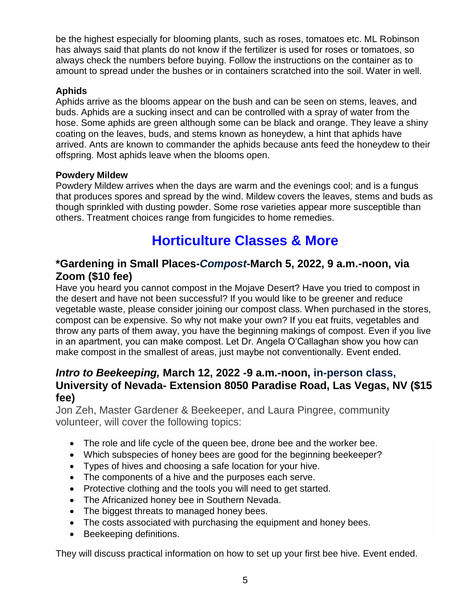be the highest especially for blooming plants, such as roses, tomatoes etc. ML Robinson has always said that plants do not know if the fertilizer is used for roses or tomatoes, so always check the numbers before buying. Follow the instructions on the container as to amount to spread under the bushes or in containers scratched into the soil. Water in well.

#### **Aphids**

Aphids arrive as the blooms appear on the bush and can be seen on stems, leaves, and buds. Aphids are a sucking insect and can be controlled with a spray of water from the hose. Some aphids are green although some can be black and orange. They leave a shiny coating on the leaves, buds, and stems known as honeydew, a hint that aphids have arrived. Ants are known to commander the aphids because ants feed the honeydew to their offspring. Most aphids leave when the blooms open.

#### **Powdery Mildew**

Powdery Mildew arrives when the days are warm and the evenings cool; and is a fungus that produces spores and spread by the wind. Mildew covers the leaves, stems and buds as though sprinkled with dusting powder. Some rose varieties appear more susceptible than others. Treatment choices range from fungicides to home remedies.

# **Horticulture Classes & More**

### <span id="page-4-0"></span>**\*Gardening in Small Places-***Compost***-March 5, 2022, 9 a.m.-noon, via Zoom (\$10 fee)**

Have you heard you cannot compost in the Mojave Desert? Have you tried to compost in the desert and have not been successful? If you would like to be greener and reduce vegetable waste, please consider joining our compost class. When purchased in the stores, compost can be expensive. So why not make your own? If you eat fruits, vegetables and throw any parts of them away, you have the beginning makings of compost. Even if you live in an apartment, you can make compost. Let Dr. Angela O'Callaghan show you how can make compost in the smallest of areas, just maybe not conventionally. Event ended.

# *Intro to Beekeeping,* **March 12, 2022 -9 a.m.-noon, in-person class, University of Nevada- Extension 8050 Paradise Road, Las Vegas, NV (\$15 fee)**

Jon Zeh, Master Gardener & Beekeeper, and Laura Pingree, community volunteer, will cover the following topics:

- The role and life cycle of the queen bee, drone bee and the worker bee.
- Which subspecies of honey bees are good for the beginning beekeeper?
- Types of hives and choosing a safe location for your hive.
- The components of a hive and the purposes each serve.
- Protective clothing and the tools you will need to get started.
- The Africanized honey bee in Southern Nevada.
- The biggest threats to managed honey bees.
- The costs associated with purchasing the equipment and honey bees.
- Beekeeping definitions.

They will discuss practical information on how to set up your first bee hive. Event ended.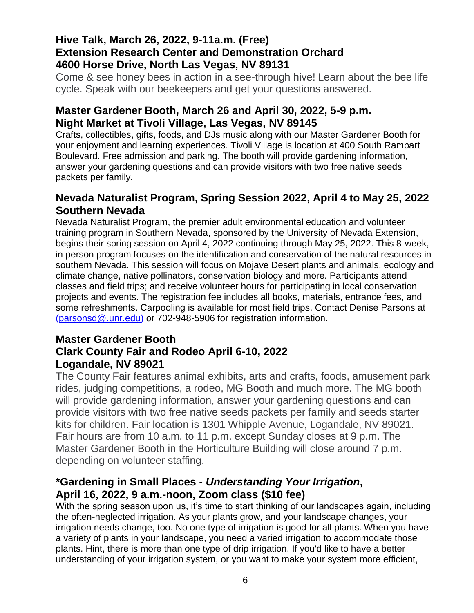# **Hive Talk, March 26, 2022, 9-11a.m. (Free) Extension Research Center and Demonstration Orchard 4600 Horse Drive, North Las Vegas, NV 89131**

Come & see honey bees in action in a see-through hive! Learn about the bee life cycle. Speak with our beekeepers and get your questions answered.

# **Master Gardener Booth, March 26 and April 30, 2022, 5-9 p.m. Night Market at Tivoli Village, Las Vegas, NV 89145**

Crafts, collectibles, gifts, foods, and DJs music along with our Master Gardener Booth for your enjoyment and learning experiences. Tivoli Village is location at 400 South Rampart Boulevard. Free admission and parking. The booth will provide gardening information, answer your gardening questions and can provide visitors with two free native seeds packets per family.

# **Nevada Naturalist Program, Spring Session 2022, April 4 to May 25, 2022 Southern Nevada**

Nevada Naturalist Program, the premier adult environmental education and volunteer training program in Southern Nevada, sponsored by the University of Nevada Extension, begins their spring session on April 4, 2022 continuing through May 25, 2022. This 8-week, in person program focuses on the identification and conservation of the natural resources in southern Nevada. This session will focus on Mojave Desert plants and animals, ecology and climate change, native pollinators, conservation biology and more. Participants attend classes and field trips; and receive volunteer hours for participating in local conservation projects and events. The registration fee includes all books, materials, entrance fees, and some refreshments. Carpooling is available for most field trips. Contact Denise Parsons at [\(parsonsd@.unr.edu\)](parsonsd@.unr.edu) or 702-948-5906 for registration information.

### **Master Gardener Booth Clark County Fair and Rodeo April 6-10, 2022 Logandale, NV 89021**

The County Fair features animal exhibits, arts and crafts, foods, amusement park rides, judging competitions, a rodeo, MG Booth and much more. The MG booth will provide gardening information, answer your gardening questions and can provide visitors with two free native seeds packets per family and seeds starter kits for children. Fair location is 1301 Whipple Avenue, Logandale, NV 89021. Fair hours are from 10 a.m. to 11 p.m. except Sunday closes at 9 p.m. The Master Gardener Booth in the Horticulture Building will close around 7 p.m. depending on volunteer staffing.

## **\*Gardening in Small Places -** *Understanding Your Irrigation***, April 16, 2022, 9 a.m.-noon, Zoom class (\$10 fee)**

With the spring season upon us, it's time to start thinking of our landscapes again, including the often-neglected irrigation. As your plants grow, and your landscape changes, your irrigation needs change, too. No one type of irrigation is good for all plants. When you have a variety of plants in your landscape, you need a varied irrigation to accommodate those plants. Hint, there is more than one type of drip irrigation. If you'd like to have a better understanding of your irrigation system, or you want to make your system more efficient,